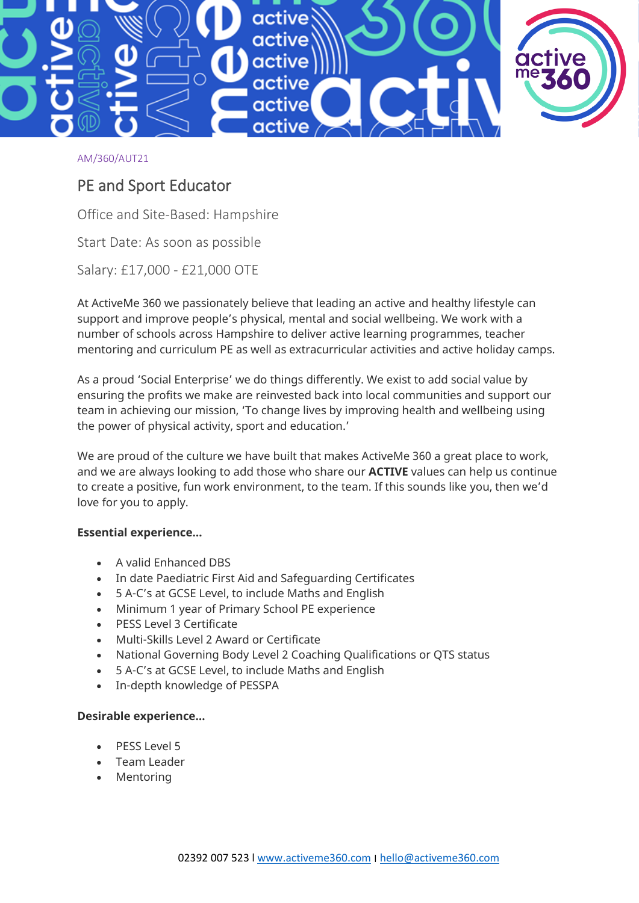

#### AM/360/AUT21

# PE and Sport Educator

Office and Site-Based: Hampshire

Start Date: As soon as possible

Salary: £17,000 - £21,000 OTE

At ActiveMe 360 we passionately believe that leading an active and healthy lifestyle can support and improve people's physical, mental and social wellbeing. We work with a number of schools across Hampshire to deliver active learning programmes, teacher mentoring and curriculum PE as well as extracurricular activities and active holiday camps.

As a proud 'Social Enterprise' we do things differently. We exist to add social value by ensuring the profits we make are reinvested back into local communities and support our team in achieving our mission, 'To change lives by improving health and wellbeing using the power of physical activity, sport and education.'

We are proud of the culture we have built that makes ActiveMe 360 a great place to work, and we are always looking to add those who share our **ACTIVE** values can help us continue to create a positive, fun work environment, to the team. If this sounds like you, then we'd love for you to apply.

#### **Essential experience…**

- A valid Enhanced DBS
- In date Paediatric First Aid and Safeguarding Certificates
- 5 A-C's at GCSE Level, to include Maths and English
- Minimum 1 year of Primary School PE experience
- PESS Level 3 Certificate
- Multi-Skills Level 2 Award or Certificate
- National Governing Body Level 2 Coaching Qualifications or QTS status
- 5 A-C's at GCSE Level, to include Maths and English
- In-depth knowledge of PESSPA

#### **Desirable experience…**

- PESS Level 5
- Team Leader
- **Mentoring**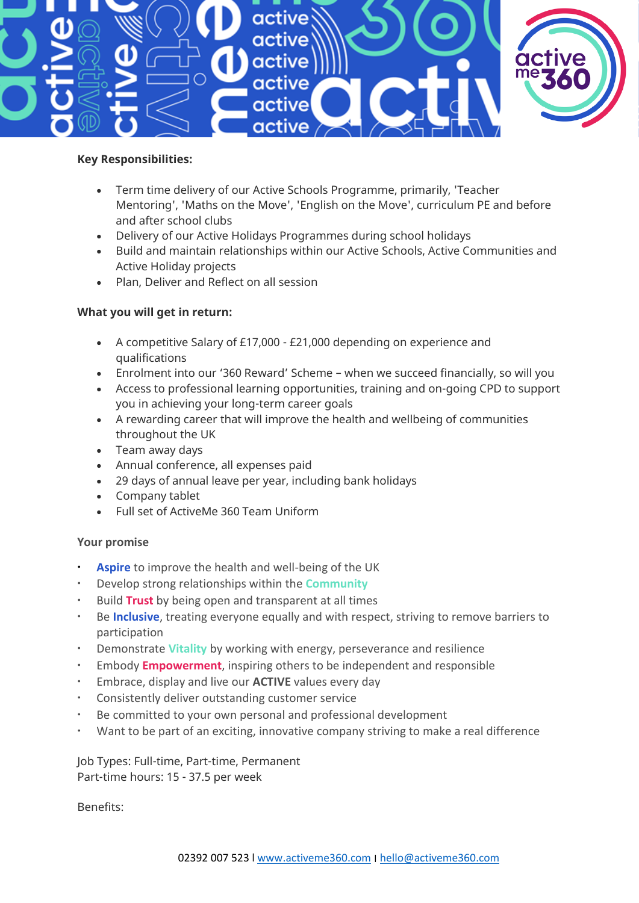

#### **Key Responsibilities:**

- Term time delivery of our Active Schools Programme, primarily, 'Teacher Mentoring', 'Maths on the Move', 'English on the Move', curriculum PE and before and after school clubs
- Delivery of our Active Holidays Programmes during school holidays
- Build and maintain relationships within our Active Schools, Active Communities and Active Holiday projects
- Plan, Deliver and Reflect on all session

# **What you will get in return:**

- A competitive Salary of £17,000 £21,000 depending on experience and qualifications
- Enrolment into our '360 Reward' Scheme when we succeed financially, so will you
- Access to professional learning opportunities, training and on-going CPD to support you in achieving your long-term career goals
- A rewarding career that will improve the health and wellbeing of communities throughout the UK
- Team away days
- Annual conference, all expenses paid
- 29 days of annual leave per year, including bank holidays
- Company tablet
- Full set of ActiveMe 360 Team Uniform

# **Your promise**

- **Aspire** to improve the health and well-being of the UK
- Develop strong relationships within the **Community**
- Build **Trust** by being open and transparent at all times
- Be **Inclusive**, treating everyone equally and with respect, striving to remove barriers to participation
- Demonstrate **Vitality** by working with energy, perseverance and resilience
- Embody **Empowerment**, inspiring others to be independent and responsible
- Embrace, display and live our **ACTIVE** values every day
- Consistently deliver outstanding customer service
- Be committed to your own personal and professional development
- Want to be part of an exciting, innovative company striving to make a real difference

Job Types: Full-time, Part-time, Permanent Part-time hours: 15 - 37.5 per week

Benefits: